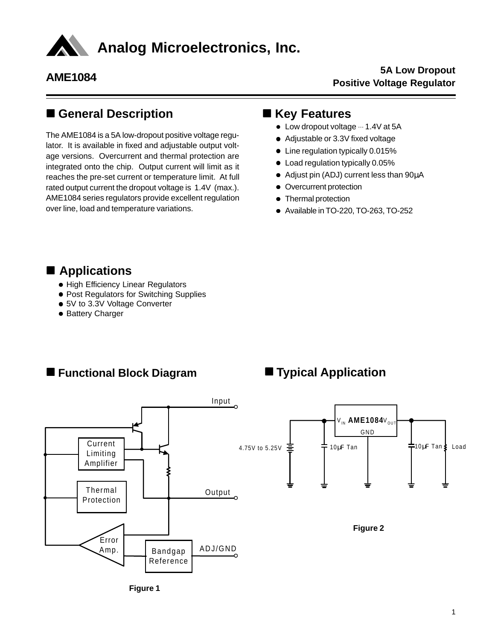

## n **General Description**

The AME1084 is a 5A low-dropout positive voltage regulator. It is available in fixed and adjustable output voltage versions. Overcurrent and thermal protection are integrated onto the chip. Output current will limit as it reaches the pre-set current or temperature limit. At full rated output current the dropout voltage is 1.4V (max.). AME1084 series regulators provide excellent regulation over line, load and temperature variations.

## $R$  **Key Features**

- $\bullet$  Low dropout voltage  $\cdots$  1.4V at 5A
- Adjustable or 3.3V fixed voltage
- $\bullet$  Line regulation typically 0.015%
- Load regulation typically 0.05%
- $\bullet$  Adjust pin (ADJ) current less than 90 $\mu$ A
- Overcurrent protection
- Thermal protection
- Available in TO-220, TO-263, TO-252

### ■ Applications

- High Efficiency Linear Regulators
- Post Regulators for Switching Supplies
- 5V to 3.3V Voltage Converter
- Battery Charger

### ■ Functional Block Diagram

## $\blacksquare$  Typical Application



**Figure 1**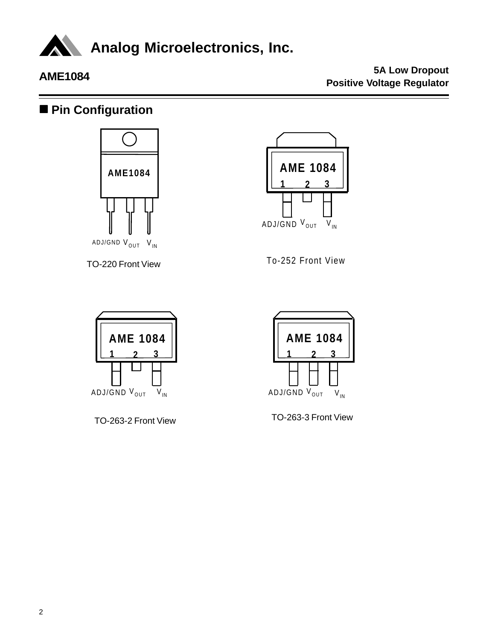

## ■ Pin Configuration



TO-220 Front View



To-252 Front View



TO-263-2 Front View



TO-263-3 Front View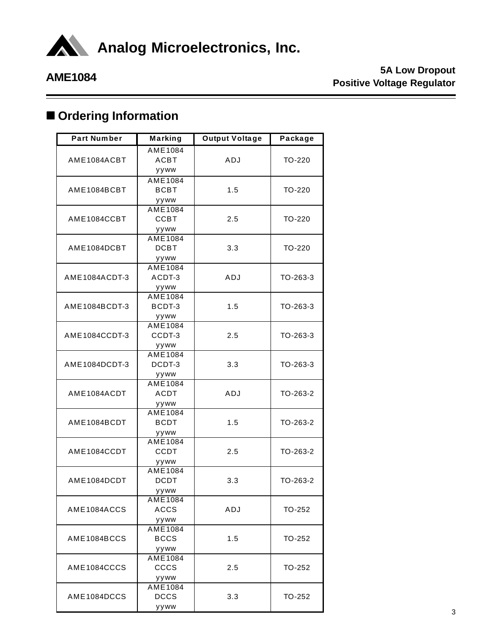

# $\blacksquare$  Ordering Information

| <b>Part Number</b> | Marking        | <b>Output Voltage</b> | Package    |  |
|--------------------|----------------|-----------------------|------------|--|
|                    | AME1084        |                       |            |  |
| AME1084ACBT        | <b>ACBT</b>    | ADJ                   | TO-220     |  |
|                    | yyww           |                       |            |  |
|                    | <b>AME1084</b> |                       |            |  |
| AME1084BCBT        | <b>BCBT</b>    | 1.5                   | TO-220     |  |
|                    | yyww           |                       |            |  |
|                    | AME1084        |                       |            |  |
| AME1084CCBT        | <b>CCBT</b>    | 2.5                   | TO-220     |  |
|                    | yyww           |                       |            |  |
|                    | AME1084        |                       |            |  |
| AME1084DCBT        | <b>DCBT</b>    | 3.3                   | TO-220     |  |
|                    | yyww           |                       |            |  |
|                    | AME1084        |                       |            |  |
| AME1084ACDT-3      | ACDT-3         | ADJ                   | TO-263-3   |  |
|                    | yyww           |                       |            |  |
|                    | AME1084        |                       |            |  |
| AME1084BCDT-3      | BCDT-3         | 1.5                   | $TO-263-3$ |  |
|                    | yyww           |                       |            |  |
|                    | AME1084        |                       |            |  |
| AME1084CCDT-3      | CCDT-3         | 2.5                   | TO-263-3   |  |
|                    | yyww           |                       |            |  |
|                    | AME1084        |                       |            |  |
| AME1084DCDT-3      | DCDT-3         | 3.3                   | $TO-263-3$ |  |
|                    | yyww           |                       |            |  |
|                    | AME1084        |                       |            |  |
| AME1084ACDT        | <b>ACDT</b>    | ADJ                   | TO-263-2   |  |
|                    | yyww           |                       |            |  |
|                    | AME1084        |                       |            |  |
| AME1084BCDT        | <b>BCDT</b>    | 1.5                   | TO-263-2   |  |
|                    | yyww           |                       |            |  |
|                    | AME1084        |                       |            |  |
| AME1084CCDT        | <b>CCDT</b>    | 2.5                   | TO-263-2   |  |
|                    | yyww           |                       |            |  |
|                    | <b>AME1084</b> |                       |            |  |
| AME1084DCDT        | <b>DCDT</b>    | 3.3                   | TO-263-2   |  |
|                    | yyww           |                       |            |  |
|                    | AME1084        |                       |            |  |
| AME1084ACCS        | ACCS           | ADJ                   | TO-252     |  |
|                    | yyww           |                       |            |  |
|                    | AME1084        |                       |            |  |
| AME1084BCCS        | <b>BCCS</b>    | 1.5                   | TO-252     |  |
|                    | yyww           |                       |            |  |
|                    | AME1084        |                       |            |  |
| AME1084CCCS        | cccs           | 2.5                   | TO-252     |  |
|                    | yyww           |                       |            |  |
|                    | AME1084        |                       |            |  |
| AME1084DCCS        | <b>DCCS</b>    | 3.3                   | TO-252     |  |
|                    | yyww           |                       |            |  |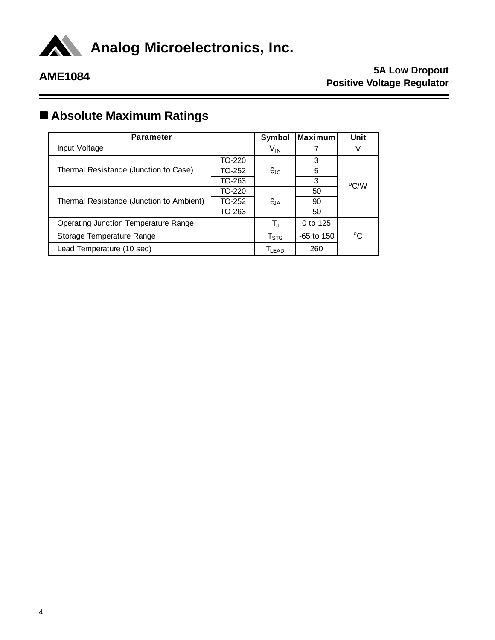

# n **Absolute Maximum Ratings**

| <b>Parameter</b>                            | Symbol      | Maximum     | Unit        |      |  |
|---------------------------------------------|-------------|-------------|-------------|------|--|
| Input Voltage                               |             | $V_{IN}$    |             |      |  |
|                                             | TO-220      |             | 3           |      |  |
| Thermal Resistance (Junction to Case)       | TO-252      | $\theta$ JC | 5           |      |  |
|                                             | TO-263      |             | 3           | °C/W |  |
|                                             | TO-220      |             | 50          |      |  |
| Thermal Resistance (Junction to Ambient)    | TO-252      | $\theta$ JA | 90          |      |  |
|                                             | TO-263      |             | 50          |      |  |
| <b>Operating Junction Temperature Range</b> | $T_{\rm J}$ | 0 to 125    |             |      |  |
| Storage Temperature Range                   | $T_{STG}$   | -65 to 150  | $^{\circ}C$ |      |  |
| Lead Temperature (10 sec)                   |             | $T_{LEAD}$  | 260         |      |  |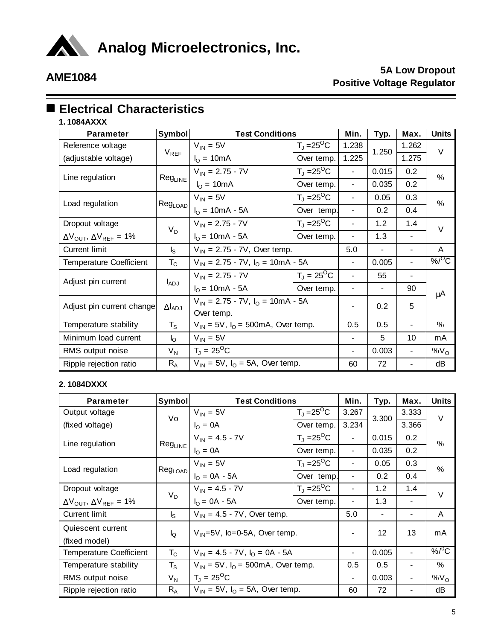

# $\blacksquare$  **Electrical Characteristics**

**1. 1084AXXX**

| <b>Parameter</b>                                       | <b>Symbol</b>       | <b>Test Conditions</b>                                |                                   | Min.                     | Typ.  | Max.  | <b>Units</b>       |
|--------------------------------------------------------|---------------------|-------------------------------------------------------|-----------------------------------|--------------------------|-------|-------|--------------------|
| Reference voltage                                      | $V_{REF}$           | $V_{IN} = 5V$                                         | $T_J = 25^{\circ}C$               | 1.238                    | 1.250 | 1.262 | $\vee$             |
| (adjustable voltage)                                   |                     | $I_{\Omega}$ = 10mA                                   | Over temp.                        | 1.225                    |       | 1.275 |                    |
| Line regulation                                        |                     | $V_{IN} = 2.75 - 7V$                                  | $T_{\rm J}$ = 25 <sup>o</sup> C   | $\overline{\phantom{a}}$ | 0.015 | 0.2   | $\%$               |
|                                                        | Reg <sub>LINE</sub> | $IO = 10mA$                                           | Over temp.                        | $\overline{\phantom{0}}$ | 0.035 | 0.2   |                    |
| Load regulation                                        |                     | $V_{IN} = 5V$                                         | $T_J = 25^{\circ}C$               | -                        | 0.05  | 0.3   | $\%$               |
|                                                        | Reg <sub>LOAD</sub> | $I_{O} = 10mA - 5A$                                   | Over temp.                        | ä,                       | 0.2   | 0.4   |                    |
| Dropout voltage                                        | $V_D$               | $V_{IN} = 2.75 - 7V$                                  | $T_J = 25^{\circ}C$               |                          | 1.2   | 1.4   | $\vee$             |
| $\Delta V_{\text{OUT}}$ , $\Delta V_{\text{REF}}$ = 1% |                     | $I_{O} = 10mA - 5A$                                   | Over temp.                        |                          | 1.3   |       |                    |
| <b>Current limit</b>                                   | $I_{\rm S}$         | $V_{IN}$ = 2.75 - 7V, Over temp.                      |                                   | 5.0                      |       |       | A                  |
| <b>Temperature Coefficient</b>                         | $T_{\rm C}$         | $V_{IN}$ = 2.75 - 7V, $I_{O}$ = 10mA - 5A             |                                   | $\blacksquare$           | 0.005 |       | $%$ <sup>O</sup> C |
| Adjust pin current                                     |                     | $V_{IN} = 2.75 - 7V$                                  | $T_{\rm J} = 25^{\rm O} \text{C}$ |                          | 55    |       |                    |
|                                                        | l <sub>ADJ</sub>    | $I_{\text{O}} = 10 \text{mA} - 5 \text{A}$            | Over temp.                        |                          |       | 90    | μA                 |
| Adjust pin current change                              | $\Delta I_{ADJ}$    | $V_{IN}$ = 2.75 - 7V, $I_{O}$ = 10mA - 5A             |                                   | -                        | 0.2   | 5     |                    |
|                                                        |                     | Over temp.                                            |                                   |                          |       |       |                    |
| Temperature stability                                  | $T_{\rm S}$         | $V_{1N} = 5V$ , $I_{O} = 500 \text{mA}$ , Over temp.  |                                   | 0.5                      | 0.5   |       | %                  |
| Minimum load current                                   | $I_{\rm O}$         | $V_{IN} = 5V$                                         |                                   |                          | 5     | 10    | mA                 |
| RMS output noise                                       | $V_N$               | $T_{\rm J} = 25^{\rm O} \text{C}$                     |                                   | -                        | 0.003 |       | $\%V_O$            |
| Ripple rejection ratio                                 | $R_A$               | $V_{\text{IN}}$ = 5V, $I_{\text{O}}$ = 5A, Over temp. |                                   | 60                       | 72    |       | dB                 |

### **2. 1084DXXX**

| <b>Parameter</b>                                       | Symbol              | <b>Test Conditions</b>                     |                                    | Min.                     | Typ.  | Max.                     | <b>Units</b>       |
|--------------------------------------------------------|---------------------|--------------------------------------------|------------------------------------|--------------------------|-------|--------------------------|--------------------|
| Output voltage                                         | Vo                  | $V_{IN} = 5V$                              | $T_{\rm J}$ = 25 <sup>O</sup> C    | 3.267                    | 3.300 | 3.333                    | $\vee$             |
| (fixed voltage)                                        |                     | $I_{\Omega} = 0A$                          | Over temp.                         | 3.234                    |       | 3.366                    |                    |
| Line regulation                                        | Reg <sub>LINE</sub> | $V_{IN} = 4.5 - 7V$                        | $T_{\text{J}}$ = 25 <sup>O</sup> C | $\blacksquare$           | 0.015 | 0.2                      | %                  |
|                                                        |                     | $I_{\Omega} = 0A$                          | Over temp.                         | $\blacksquare$           | 0.035 | 0.2                      |                    |
| Load regulation                                        |                     | $V_{IN} = 5V$                              | $T_{\rm J}$ = 25 <sup>O</sup> C    | $\overline{\phantom{a}}$ | 0.05  | 0.3                      | $\%$               |
|                                                        | Reg <sub>LOAD</sub> | $I_{\Omega} = 0A - 5A$                     | Over temp.                         | $\blacksquare$           | 0.2   | 0.4                      |                    |
| Dropout voltage                                        | $V_D$               | $V_{1N} = 4.5 - 7V$                        | $T_{\text{J}}$ = 25 <sup>O</sup> C | $\blacksquare$           | 1.2   | 1.4                      | $\vee$             |
| $\Delta V_{\text{OUT}}$ , $\Delta V_{\text{REF}}$ = 1% |                     | $I_0 = 0A - 5A$                            | Over temp.                         | -                        | 1.3   | $\blacksquare$           |                    |
| Current limit                                          | $I_{\rm S}$         | $V_{IN}$ = 4.5 - 7V, Over temp.            |                                    | 5.0                      |       |                          | A                  |
| Quiescent current                                      | $I_{\rm Q}$         | $V_{\text{IN}} = 5V$ , lo=0-5A, Over temp. |                                    |                          | 12    | 13                       | mA                 |
| (fixed model)                                          |                     |                                            |                                    |                          |       |                          |                    |
| <b>Temperature Coefficient</b>                         | $T_{C}$             | $V_{1N} = 4.5 - 7V$ , $I_{0} = 0A - 5A$    |                                    | -                        | 0.005 | $\overline{\phantom{a}}$ | $%$ <sup>0</sup> C |
| Temperature stability                                  | $T_S$               | $V_{1N}$ = 5V, $I_0$ = 500mA, Over temp.   |                                    | 0.5                      | 0.5   | -                        | %                  |
| RMS output noise                                       | $V_{N}$             | $T_1 = 25^{\circ}C$                        |                                    | $\blacksquare$           | 0.003 | ۰                        | W <sub>O</sub>     |
| Ripple rejection ratio                                 | $R_{A}$             | $V_{1N}$ = 5V, $I_{O}$ = 5A, Over temp.    |                                    | 60                       | 72    |                          | dB                 |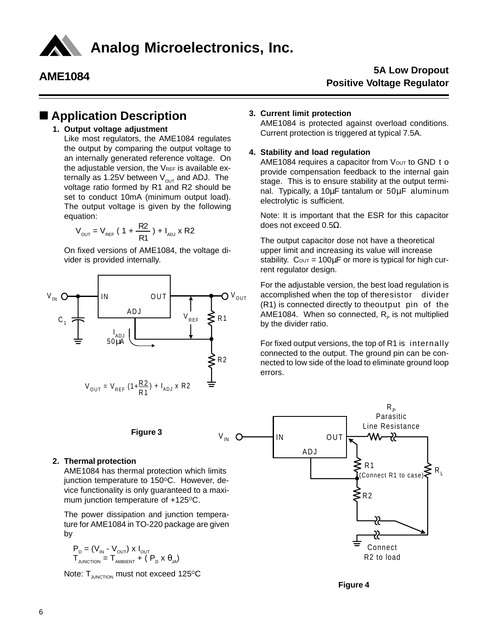

### ■ Application Description

### **1. Output voltage adjustment**

Like most regulators, the AME1084 regulates the output by comparing the output voltage to an internally generated reference voltage. On the adjustable version, the VREF is available externally as 1.25V between  $V_{\text{OUT}}$  and ADJ. The voltage ratio formed by R1 and R2 should be set to conduct 10mA (minimum output load). The output voltage is given by the following equation:

$$
V_{\text{OUT}} = V_{\text{REF}} (1 + \frac{R2}{R1}) + I_{\text{AD}} x R2
$$

On fixed versions of AME1084, the voltage divider is provided internally.



### **Figure 3**

### **2. Thermal protection**

AME1084 has thermal protection which limits junction temperature to 150°C. However, device functionality is only guaranteed to a maximum junction temperature of  $+125^{\circ}$ C.

The power dissipation and junction temperature for AME1084 in TO-220 package are given by

$$
\begin{aligned} \mathsf{P}_{\mathrm{D}} &= \left(\mathsf{V}_{\mathsf{IN}} \cdot \mathsf{V}_{\mathsf{OUT}}\right) \times \mathsf{I}_{\mathsf{OUT}} \\ \mathsf{T}_{\mathsf{JUNCTION}} &= \mathsf{T}_{\mathsf{AMBERT}} + \left(\mathsf{P}_{\mathrm{D}} \times \boldsymbol{\theta}_{\mathsf{JA}}\right) \end{aligned}
$$

Note:  $T_{\text{JUNCTION}}$  must not exceed 125 $\text{O}C$ 

### **3. Current limit protection**

AME1084 is protected against overload conditions. Current protection is triggered at typical 7.5A.

### **4. Stability and load regulation**

AME1084 requires a capacitor from  $V_{\text{OUT}}$  to GND to provide compensation feedback to the internal gain stage. This is to ensure stability at the output terminal. Typically, a 10µF tantalum or 50µF aluminum electrolytic is sufficient.

Note: It is important that the ESR for this capacitor does not exceed 0.5 $Ω$ .

The output capacitor dose not have a theoretical upper limit and increasing its value will increase stability.  $C_{\text{OUT}} = 100 \mu F$  or more is typical for high current regulator design.

For the adjustable version, the best load regulation is accomplished when the top of theresistor divider (R1) is connected directly to theoutput pin of the AME1084. When so connected,  $R<sub>p</sub>$  is not multiplied by the divider ratio.

For fixed output versions, the top of R1 is internally connected to the output. The ground pin can be connected to low side of the load to eliminate ground loop errors.



**Figure 4**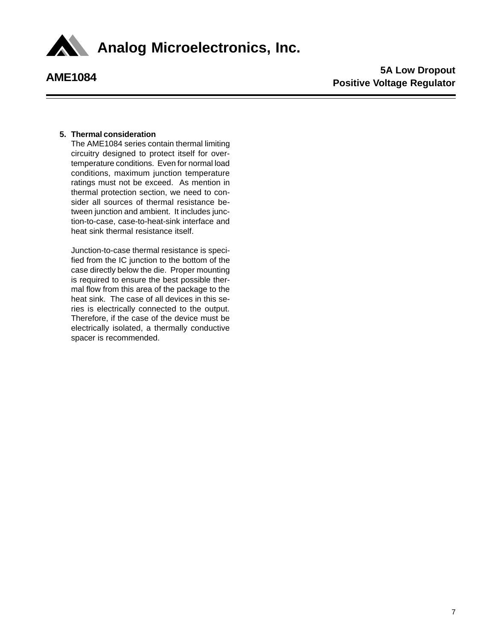

### **5. Thermal consideration**

The AME1084 series contain thermal limiting circuitry designed to protect itself for overtemperature conditions. Even for normal load conditions, maximum junction temperature ratings must not be exceed. As mention in thermal protection section, we need to consider all sources of thermal resistance between junction and ambient. It includes junction-to-case, case-to-heat-sink interface and heat sink thermal resistance itself.

Junction-to-case thermal resistance is specified from the IC junction to the bottom of the case directly below the die. Proper mounting is required to ensure the best possible thermal flow from this area of the package to the heat sink. The case of all devices in this series is electrically connected to the output. Therefore, if the case of the device must be electrically isolated, a thermally conductive spacer is recommended.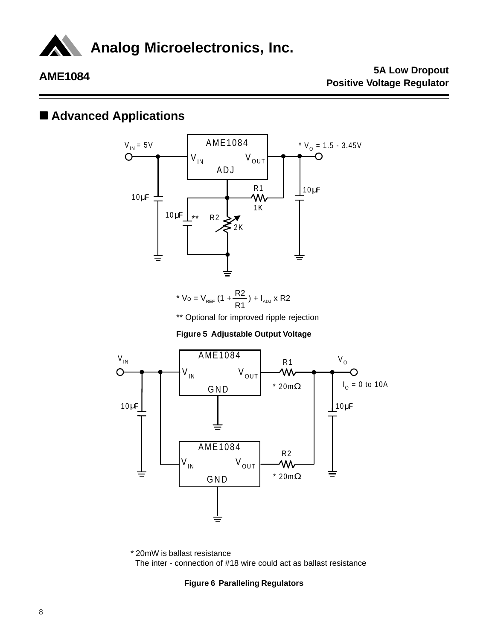

## ■ **Advanced Applications**



\* 
$$
V_0 = V_{REF} (1 + \frac{R2}{R1}) + I_{ADJ} \times R2
$$

\*\* Optional for improved ripple rejection

**Figure 5 Adjustable Output Voltage**



\* 20mW is ballast resistance The inter - connection of #18 wire could act as ballast resistance

### **Figure 6 Paralleling Regulators**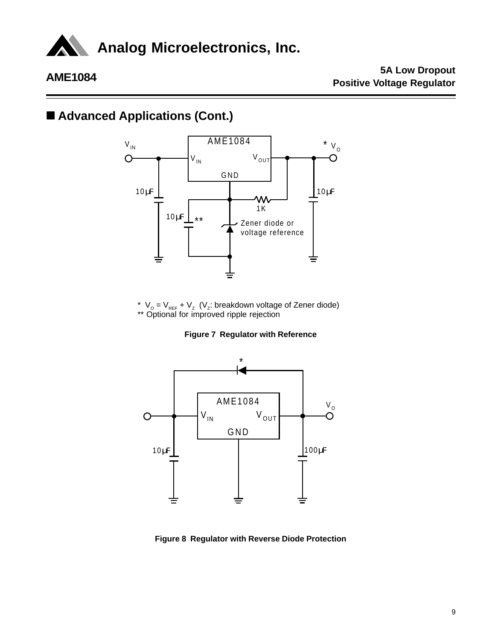

## ■ Advanced Applications (Cont.)



\*  $V_o = V_{REF} + V_z$  (V<sub>z</sub>: breakdown voltage of Zener diode) \*\* Optional for improved ripple rejection





**Figure 8 Regulator with Reverse Diode Protection**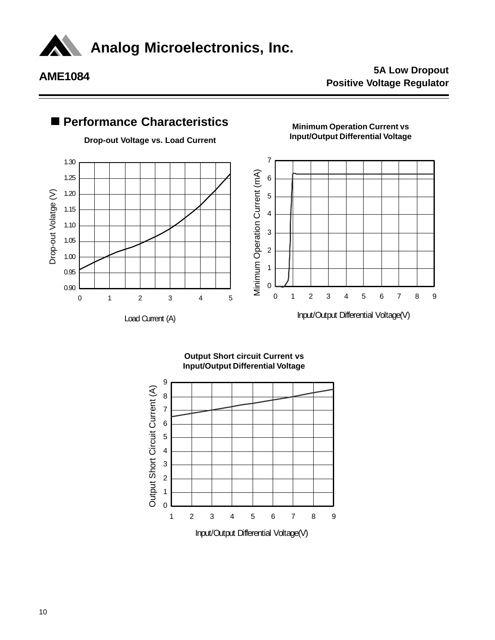

**Analog Microelectronics, Inc.**

### **AME1084 5A Low Dropout Positive Voltage Regulator**



**Output Short circuit Current vs Input/Output Differential Voltage**

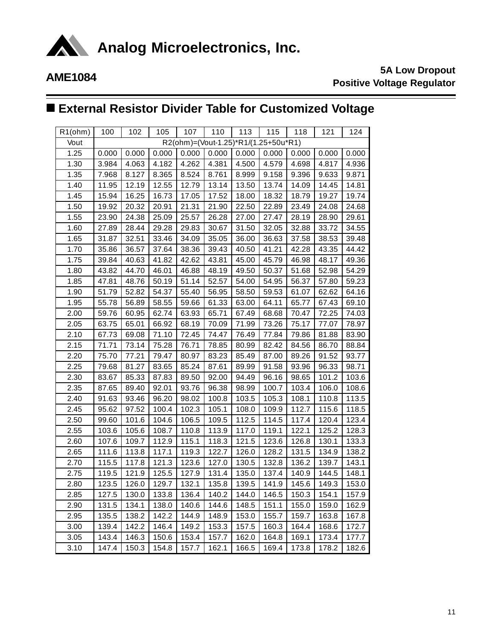

# n **External Resistor Divider Table for Customized Voltage**

| R1(ohm) | 100                                  | 102   | 105   | 107   | 110   | 113   | 115   | 118   | 121   | 124   |  |
|---------|--------------------------------------|-------|-------|-------|-------|-------|-------|-------|-------|-------|--|
| Vout    | R2(ohm)=(Vout-1.25)*R1/(1.25+50u*R1) |       |       |       |       |       |       |       |       |       |  |
| 1.25    | 0.000                                | 0.000 | 0.000 | 0.000 | 0.000 | 0.000 | 0.000 | 0.000 | 0.000 | 0.000 |  |
| 1.30    | 3.984                                | 4.063 | 4.182 | 4.262 | 4.381 | 4.500 | 4.579 | 4.698 | 4.817 | 4.936 |  |
| 1.35    | 7.968                                | 8.127 | 8.365 | 8.524 | 8.761 | 8.999 | 9.158 | 9.396 | 9.633 | 9.871 |  |
| 1.40    | 11.95                                | 12.19 | 12.55 | 12.79 | 13.14 | 13.50 | 13.74 | 14.09 | 14.45 | 14.81 |  |
| 1.45    | 15.94                                | 16.25 | 16.73 | 17.05 | 17.52 | 18.00 | 18.32 | 18.79 | 19.27 | 19.74 |  |
| 1.50    | 19.92                                | 20.32 | 20.91 | 21.31 | 21.90 | 22.50 | 22.89 | 23.49 | 24.08 | 24.68 |  |
| 1.55    | 23.90                                | 24.38 | 25.09 | 25.57 | 26.28 | 27.00 | 27.47 | 28.19 | 28.90 | 29.61 |  |
| 1.60    | 27.89                                | 28.44 | 29.28 | 29.83 | 30.67 | 31.50 | 32.05 | 32.88 | 33.72 | 34.55 |  |
| 1.65    | 31.87                                | 32.51 | 33.46 | 34.09 | 35.05 | 36.00 | 36.63 | 37.58 | 38.53 | 39.48 |  |
| 1.70    | 35.86                                | 36.57 | 37.64 | 38.36 | 39.43 | 40.50 | 41.21 | 42.28 | 43.35 | 44.42 |  |
| 1.75    | 39.84                                | 40.63 | 41.82 | 42.62 | 43.81 | 45.00 | 45.79 | 46.98 | 48.17 | 49.36 |  |
| 1.80    | 43.82                                | 44.70 | 46.01 | 46.88 | 48.19 | 49.50 | 50.37 | 51.68 | 52.98 | 54.29 |  |
| 1.85    | 47.81                                | 48.76 | 50.19 | 51.14 | 52.57 | 54.00 | 54.95 | 56.37 | 57.80 | 59.23 |  |
| 1.90    | 51.79                                | 52.82 | 54.37 | 55.40 | 56.95 | 58.50 | 59.53 | 61.07 | 62.62 | 64.16 |  |
| 1.95    | 55.78                                | 56.89 | 58.55 | 59.66 | 61.33 | 63.00 | 64.11 | 65.77 | 67.43 | 69.10 |  |
| 2.00    | 59.76                                | 60.95 | 62.74 | 63.93 | 65.71 | 67.49 | 68.68 | 70.47 | 72.25 | 74.03 |  |
| 2.05    | 63.75                                | 65.01 | 66.92 | 68.19 | 70.09 | 71.99 | 73.26 | 75.17 | 77.07 | 78.97 |  |
| 2.10    | 67.73                                | 69.08 | 71.10 | 72.45 | 74.47 | 76.49 | 77.84 | 79.86 | 81.88 | 83.90 |  |
| 2.15    | 71.71                                | 73.14 | 75.28 | 76.71 | 78.85 | 80.99 | 82.42 | 84.56 | 86.70 | 88.84 |  |
| 2.20    | 75.70                                | 77.21 | 79.47 | 80.97 | 83.23 | 85.49 | 87.00 | 89.26 | 91.52 | 93.77 |  |
| 2.25    | 79.68                                | 81.27 | 83.65 | 85.24 | 87.61 | 89.99 | 91.58 | 93.96 | 96.33 | 98.71 |  |
| 2.30    | 83.67                                | 85.33 | 87.83 | 89.50 | 92.00 | 94.49 | 96.16 | 98.65 | 101.2 | 103.6 |  |
| 2.35    | 87.65                                | 89.40 | 92.01 | 93.76 | 96.38 | 98.99 | 100.7 | 103.4 | 106.0 | 108.6 |  |
| 2.40    | 91.63                                | 93.46 | 96.20 | 98.02 | 100.8 | 103.5 | 105.3 | 108.1 | 110.8 | 113.5 |  |
| 2.45    | 95.62                                | 97.52 | 100.4 | 102.3 | 105.1 | 108.0 | 109.9 | 112.7 | 115.6 | 118.5 |  |
| 2.50    | 99.60                                | 101.6 | 104.6 | 106.5 | 109.5 | 112.5 | 114.5 | 117.4 | 120.4 | 123.4 |  |
| 2.55    | 103.6                                | 105.6 | 108.7 | 110.8 | 113.9 | 117.0 | 119.1 | 122.1 | 125.2 | 128.3 |  |
| 2.60    | 107.6                                | 109.7 | 112.9 | 115.1 | 118.3 | 121.5 | 123.6 | 126.8 | 130.1 | 133.3 |  |
| 2.65    | 111.6                                | 113.8 | 117.1 | 119.3 | 122.7 | 126.0 | 128.2 | 131.5 | 134.9 | 138.2 |  |
| 2.70    | 115.5                                | 117.8 | 121.3 | 123.6 | 127.0 | 130.5 | 132.8 | 136.2 | 139.7 | 143.1 |  |
| 2.75    | 119.5                                | 121.9 | 125.5 | 127.9 | 131.4 | 135.0 | 137.4 | 140.9 | 144.5 | 148.1 |  |
| 2.80    | 123.5                                | 126.0 | 129.7 | 132.1 | 135.8 | 139.5 | 141.9 | 145.6 | 149.3 | 153.0 |  |
| 2.85    | 127.5                                | 130.0 | 133.8 | 136.4 | 140.2 | 144.0 | 146.5 | 150.3 | 154.1 | 157.9 |  |
| 2.90    | 131.5                                | 134.1 | 138.0 | 140.6 | 144.6 | 148.5 | 151.1 | 155.0 | 159.0 | 162.9 |  |
| 2.95    | 135.5                                | 138.2 | 142.2 | 144.9 | 148.9 | 153.0 | 155.7 | 159.7 | 163.8 | 167.8 |  |
| 3.00    | 139.4                                | 142.2 | 146.4 | 149.2 | 153.3 | 157.5 | 160.3 | 164.4 | 168.6 | 172.7 |  |
| 3.05    | 143.4                                | 146.3 | 150.6 | 153.4 | 157.7 | 162.0 | 164.8 | 169.1 | 173.4 | 177.7 |  |
| 3.10    | 147.4                                | 150.3 | 154.8 | 157.7 | 162.1 | 166.5 | 169.4 | 173.8 | 178.2 | 182.6 |  |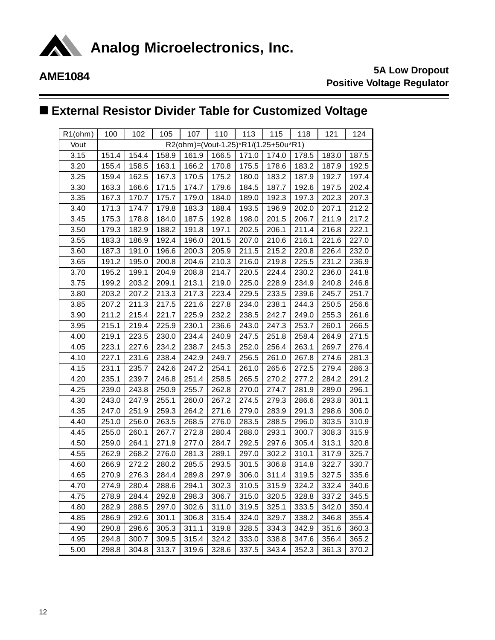

**AN** Analog Microelectronics, Inc.

# **AME1084 5A Low Dropout Positive Voltage Regulator**

# n **External Resistor Divider Table for Customized Voltage**

| R1(ohm) | 100   | 102                                  | 105   | 107   | 110   | 113   | 115   | 118   | 121   | 124   |  |  |
|---------|-------|--------------------------------------|-------|-------|-------|-------|-------|-------|-------|-------|--|--|
| Vout    |       | R2(ohm)=(Vout-1.25)*R1/(1.25+50u*R1) |       |       |       |       |       |       |       |       |  |  |
| 3.15    | 151.4 | 154.4                                | 158.9 | 161.9 | 166.5 | 171.0 | 174.0 | 178.5 | 183.0 | 187.5 |  |  |
| 3.20    | 155.4 | 158.5                                | 163.1 | 166.2 | 170.8 | 175.5 | 178.6 | 183.2 | 187.9 | 192.5 |  |  |
| 3.25    | 159.4 | 162.5                                | 167.3 | 170.5 | 175.2 | 180.0 | 183.2 | 187.9 | 192.7 | 197.4 |  |  |
| 3.30    | 163.3 | 166.6                                | 171.5 | 174.7 | 179.6 | 184.5 | 187.7 | 192.6 | 197.5 | 202.4 |  |  |
| 3.35    | 167.3 | 170.7                                | 175.7 | 179.0 | 184.0 | 189.0 | 192.3 | 197.3 | 202.3 | 207.3 |  |  |
| 3.40    | 171.3 | 174.7                                | 179.8 | 183.3 | 188.4 | 193.5 | 196.9 | 202.0 | 207.1 | 212.2 |  |  |
| 3.45    | 175.3 | 178.8                                | 184.0 | 187.5 | 192.8 | 198.0 | 201.5 | 206.7 | 211.9 | 217.2 |  |  |
| 3.50    | 179.3 | 182.9                                | 188.2 | 191.8 | 197.1 | 202.5 | 206.1 | 211.4 | 216.8 | 222.1 |  |  |
| 3.55    | 183.3 | 186.9                                | 192.4 | 196.0 | 201.5 | 207.0 | 210.6 | 216.1 | 221.6 | 227.0 |  |  |
| 3.60    | 187.3 | 191.0                                | 196.6 | 200.3 | 205.9 | 211.5 | 215.2 | 220.8 | 226.4 | 232.0 |  |  |
| 3.65    | 191.2 | 195.0                                | 200.8 | 204.6 | 210.3 | 216.0 | 219.8 | 225.5 | 231.2 | 236.9 |  |  |
| 3.70    | 195.2 | 199.1                                | 204.9 | 208.8 | 214.7 | 220.5 | 224.4 | 230.2 | 236.0 | 241.8 |  |  |
| 3.75    | 199.2 | 203.2                                | 209.1 | 213.1 | 219.0 | 225.0 | 228.9 | 234.9 | 240.8 | 246.8 |  |  |
| 3.80    | 203.2 | 207.2                                | 213.3 | 217.3 | 223.4 | 229.5 | 233.5 | 239.6 | 245.7 | 251.7 |  |  |
| 3.85    | 207.2 | 211.3                                | 217.5 | 221.6 | 227.8 | 234.0 | 238.1 | 244.3 | 250.5 | 256.6 |  |  |
| 3.90    | 211.2 | 215.4                                | 221.7 | 225.9 | 232.2 | 238.5 | 242.7 | 249.0 | 255.3 | 261.6 |  |  |
| 3.95    | 215.1 | 219.4                                | 225.9 | 230.1 | 236.6 | 243.0 | 247.3 | 253.7 | 260.1 | 266.5 |  |  |
| 4.00    | 219.1 | 223.5                                | 230.0 | 234.4 | 240.9 | 247.5 | 251.8 | 258.4 | 264.9 | 271.5 |  |  |
| 4.05    | 223.1 | 227.6                                | 234.2 | 238.7 | 245.3 | 252.0 | 256.4 | 263.1 | 269.7 | 276.4 |  |  |
| 4.10    | 227.1 | 231.6                                | 238.4 | 242.9 | 249.7 | 256.5 | 261.0 | 267.8 | 274.6 | 281.3 |  |  |
| 4.15    | 231.1 | 235.7                                | 242.6 | 247.2 | 254.1 | 261.0 | 265.6 | 272.5 | 279.4 | 286.3 |  |  |
| 4.20    | 235.1 | 239.7                                | 246.8 | 251.4 | 258.5 | 265.5 | 270.2 | 277.2 | 284.2 | 291.2 |  |  |
| 4.25    | 239.0 | 243.8                                | 250.9 | 255.7 | 262.8 | 270.0 | 274.7 | 281.9 | 289.0 | 296.1 |  |  |
| 4.30    | 243.0 | 247.9                                | 255.1 | 260.0 | 267.2 | 274.5 | 279.3 | 286.6 | 293.8 | 301.1 |  |  |
| 4.35    | 247.0 | 251.9                                | 259.3 | 264.2 | 271.6 | 279.0 | 283.9 | 291.3 | 298.6 | 306.0 |  |  |
| 4.40    | 251.0 | 256.0                                | 263.5 | 268.5 | 276.0 | 283.5 | 288.5 | 296.0 | 303.5 | 310.9 |  |  |
| 4.45    | 255.0 | 260.1                                | 267.7 | 272.8 | 280.4 | 288.0 | 293.1 | 300.7 | 308.3 | 315.9 |  |  |
| 4.50    | 259.0 | 264.1                                | 271.9 | 277.0 | 284.7 | 292.5 | 297.6 | 305.4 | 313.1 | 320.8 |  |  |
| 4.55    | 262.9 | 268.2                                | 276.0 | 281.3 | 289.1 | 297.0 | 302.2 | 310.1 | 317.9 | 325.7 |  |  |
| 4.60    | 266.9 | 272.2                                | 280.2 | 285.5 | 293.5 | 301.5 | 306.8 | 314.8 | 322.7 | 330.7 |  |  |
| 4.65    | 270.9 | 276.3                                | 284.4 | 289.8 | 297.9 | 306.0 | 311.4 | 319.5 | 327.5 | 335.6 |  |  |
| 4.70    | 274.9 | 280.4                                | 288.6 | 294.1 | 302.3 | 310.5 | 315.9 | 324.2 | 332.4 | 340.6 |  |  |
| 4.75    | 278.9 | 284.4                                | 292.8 | 298.3 | 306.7 | 315.0 | 320.5 | 328.8 | 337.2 | 345.5 |  |  |
| 4.80    | 282.9 | 288.5                                | 297.0 | 302.6 | 311.0 | 319.5 | 325.1 | 333.5 | 342.0 | 350.4 |  |  |
| 4.85    | 286.9 | 292.6                                | 301.1 | 306.8 | 315.4 | 324.0 | 329.7 | 338.2 | 346.8 | 355.4 |  |  |
| 4.90    | 290.8 | 296.6                                | 305.3 | 311.1 | 319.8 | 328.5 | 334.3 | 342.9 | 351.6 | 360.3 |  |  |
| 4.95    | 294.8 | 300.7                                | 309.5 | 315.4 | 324.2 | 333.0 | 338.8 | 347.6 | 356.4 | 365.2 |  |  |
| 5.00    | 298.8 | 304.8                                | 313.7 | 319.6 | 328.6 | 337.5 | 343.4 | 352.3 | 361.3 | 370.2 |  |  |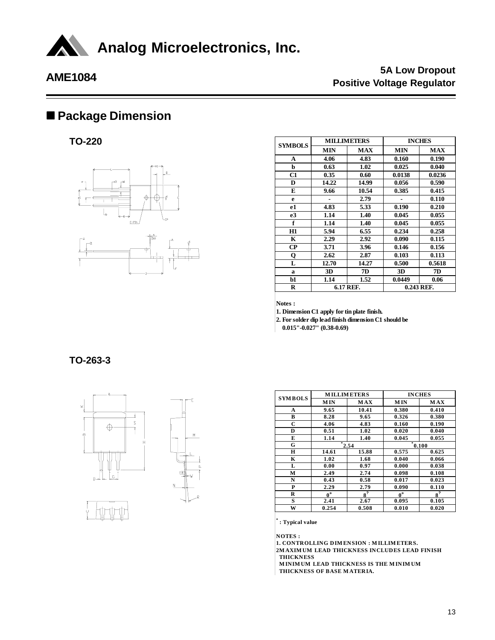

## n **Package Dimension**

**TO-220**



| <b>SYMBOLS</b> |            | <b>MILLIMETERS</b> | <b>INCHES</b> |            |  |
|----------------|------------|--------------------|---------------|------------|--|
|                | <b>MIN</b> | <b>MAX</b>         | <b>MIN</b>    | <b>MAX</b> |  |
| A              | 4.06       | 4.83               | 0.160         | 0.190      |  |
| b              | 0.63       | 1.02               | 0.025         | 0.040      |  |
| C1             | 0.35       | 0.60               | 0.0138        | 0.0236     |  |
| D              | 14.22      | 14.99              | 0.056         | 0.590      |  |
| E              | 9.66       | 10.54              | 0.385         | 0.415      |  |
| e              |            | 2.79               |               | 0.110      |  |
| e1             | 4.83       | 5.33               | 0.190         | 0.210      |  |
| e <sub>3</sub> | 1.14       | 1.40               | 0.045         | 0.055      |  |
| f              | 1.14       | 1.40               | 0.045         | 0.055      |  |
| H1             | 5.94       | 6.55               | 0.234         | 0.258      |  |
| K              | 2.29       | 2.92               | 0.090         | 0.115      |  |
| $\bf CP$       | 3.71       | 3.96               | 0.146         | 0.156      |  |
| Q              | 2.62       | 2.87               | 0.103         | 0.113      |  |
| L              | 12.70      | 14.27              | 0.500         | 0.5618     |  |
| a              | 3D         | 7D                 | 3D            | 7D         |  |
| b1             | 1.14       | 1.52               | 0.0449        | 0.06       |  |
| R              |            | 6.17 REF.          |               | 0.243 REF. |  |

**Notes :**

**1. Dimension C1 apply for tin plate finish.**

**2. For solder dip lead finish dimension C1 should be**

 **0.015"-0.027" (0.38-0.69)**

### **TO-263-3**





| <b>SYMBOLS</b> |             | <b>MILLIMETERS</b> | <b>INCHES</b> |            |  |
|----------------|-------------|--------------------|---------------|------------|--|
|                | <b>MIN</b>  | MAX                | <b>MIN</b>    | <b>MAX</b> |  |
| A              | 9.65        | 10.41              | 0.380         | 0.410      |  |
| в              | 8.28        | 9.65               | 0.326         | 0.380      |  |
| C              | 4.06        | 4.83               | 0.160         | 0.190      |  |
| D              | 0.51        | 1.02               | 0.020         | 0.040      |  |
| E              | 1.14        | 1.40               | 0.045         | 0.055      |  |
| G              |             | 2.54               |               | 0.100      |  |
| Н              | 14.61       | 15.88              | 0.575         | 0.625      |  |
| K              | 1.02        | 1.68               | 0.040         | 0.066      |  |
| L              | 0.00        | 0.97               | 0.000         | 0.038      |  |
| М              | 2.49        | 2.74               | 0.098         | 0.108      |  |
| N              | 0.43        | 0.58               | 0.017         | 0.023      |  |
| P              | 2.29        | 2.79               | 0.090         | 0.110      |  |
| R              | $0^{\circ}$ | $\mathbf{R}^2$     | $0^{\circ}$   | $8^?$      |  |
| S              | 2.41        | 2.67               | 0.095         | 0.105      |  |
| W              | 0.254       | 0.508              | 0.010         | 0.020      |  |

**\* : Typical value**

**NOTES :**

**1. CONTROLLING DIM ENSION : M ILLIM ETERS.**

**2M AXIM UM LEAD THICKNESS INCLUDES LEAD FINISH THICKNESS**

 **M INIM UM LEAD THICKNESS IS THE M INIM UM THICKNESS OF BASE M ATERIA.**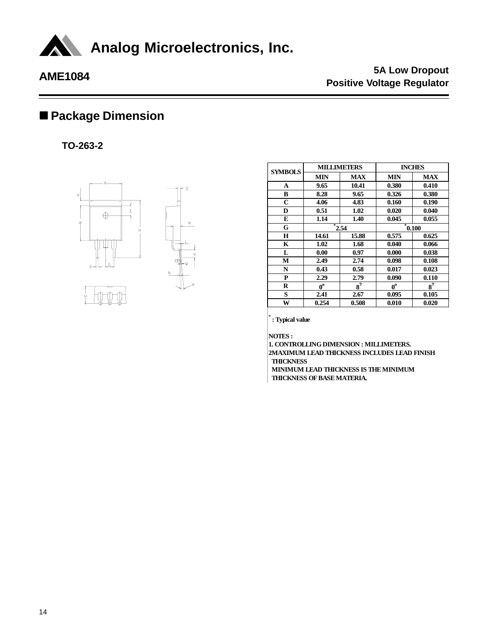

# ■ Package Dimension

**TO-263-2**



| <b>SYMBOLS</b> |             | <b>MILLIMETERS</b> | <b>INCHES</b> |            |  |
|----------------|-------------|--------------------|---------------|------------|--|
|                | <b>MIN</b>  | <b>MAX</b>         | <b>MIN</b>    | <b>MAX</b> |  |
| A              | 9.65        | 10.41              | 0.380         | 0.410      |  |
| в              | 8.28        | 9.65               | 0.326         | 0.380      |  |
| C              | 4.06        | 4.83               | 0.160         | 0.190      |  |
| D              | 0.51        | 1.02               | 0.020         | 0.040      |  |
| E              | 1.14        | 1.40               | 0.045         | 0.055      |  |
| G              |             | 2.54               |               | 0.100      |  |
| Н              | 14.61       | 15.88              | 0.575         | 0.625      |  |
| K              | 1.02        | 1.68               | 0.040         | 0.066      |  |
| L              | 0.00        | 0.97               | 0.000         | 0.038      |  |
| М              | 2.49        | 2.74               | 0.098         | 0.108      |  |
| N              | 0.43        | 0.58               | 0.017         | 0.023      |  |
| P              | 2.29        | 2.79               | 0.090         | 0.110      |  |
| R              | $0^{\rm o}$ | $8^2$              | $0^{\rm o}$   | $8^2$      |  |
| S              | 2.41        | 2.67               | 0.095         | 0.105      |  |
| W              | 0.254       | 0.508              | 0.010         | 0.020      |  |

**\* : Typical value**

**NOTES :**

**1. CONTROLLING DIMENSION : MILLIMETERS. 2MAXIMUM LEAD THICKNESS INCLUDES LEAD FINISH THICKNESS**

 **MINIMUM LEAD THICKNESS IS THE MINIMUM THICKNESS OF BASE MATERIA.**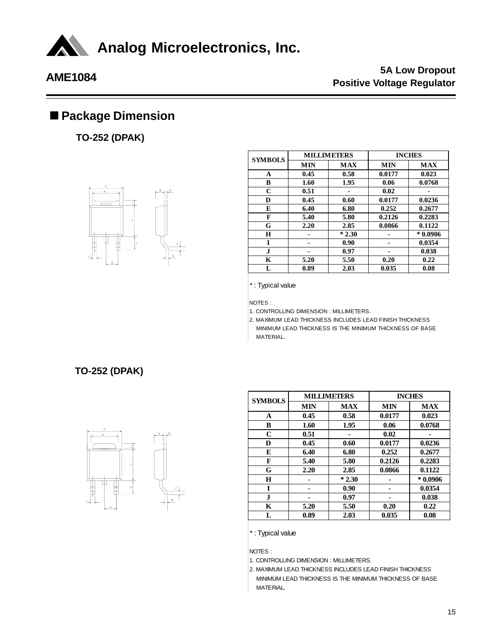

## ■ Package Dimension

**TO-252 (DPAK)**



| <b>SYMBOLS</b> |            | <b>MILLIMETERS</b> | <b>INCHES</b> |            |  |
|----------------|------------|--------------------|---------------|------------|--|
|                | <b>MIN</b> | <b>MAX</b>         | <b>MIN</b>    | <b>MAX</b> |  |
| A              | 0.45       | 0.58               | 0.0177        | 0.023      |  |
| в              | 1.60       | 1.95               | 0.06          | 0.0768     |  |
| C              | 0.51       |                    | 0.02          |            |  |
| D              | 0.45       | 0.60               | 0.0177        | 0.0236     |  |
| E              | 6.40       | 6.80               | 0.252         | 0.2677     |  |
| F              | 5.40       | 5.80               | 0.2126        | 0.2283     |  |
| G              | 2.20       | 2.85               | 0.0866        | 0.1122     |  |
| Н              |            | $*2.30$            |               | $*0.0906$  |  |
| I              |            | 0.90               |               | 0.0354     |  |
| J.             |            | 0.97               |               | 0.038      |  |
| K              | 5.20       | 5.50               | 0.20          | 0.22       |  |
| L              | 0.89       | 2.03               | 0.035         | 0.08       |  |

\* : Typical value

NOTES :

1. CONTROLLING DIMENSION : MILLIMETERS.

2. MAXIMUM LEAD THICKNESS INCLUDES LEAD FINISH THICKNESS MINIMUM LEAD THICKNESS IS THE MINIMUM THICKNESS OF BASE MATERIAL.

### **TO-252 (DPAK)**



| <b>SYMBOLS</b> |            | <b>MILLIMETERS</b> | <b>INCHES</b> |            |  |
|----------------|------------|--------------------|---------------|------------|--|
|                | <b>MIN</b> | <b>MAX</b>         | <b>MIN</b>    | <b>MAX</b> |  |
| A              | 0.45       | 0.58               | 0.0177        | 0.023      |  |
| B              | 1.60       | 1.95               | 0.06          | 0.0768     |  |
| C              | 0.51       |                    | 0.02          |            |  |
| D              | 0.45       | 0.60               | 0.0177        | 0.0236     |  |
| E              | 6.40       | 6.80               | 0.252         | 0.2677     |  |
| F              | 5.40       | 5.80               | 0.2126        | 0.2283     |  |
| G              | 2.20       | 2.85               | 0.0866        | 0.1122     |  |
| H              |            | $*2.30$            |               | $*0.0906$  |  |
| I              |            | 0.90               |               | 0.0354     |  |
| $\mathbf{J}$   |            | 0.97               |               | 0.038      |  |
| K              | 5.20       | 5.50               | 0.20          | 0.22       |  |
| L              | 0.89       | 2.03               | 0.035         | 0.08       |  |

\* : Typical value

NOTES :

1. CONTROLLING DIMENSION : MILLIMETERS.

2. MAXIMUM LEAD THICKNESS INCLUDES LEAD FINISH THICKNESS MINIMUM LEAD THICKNESS IS THE MINIMUM THICKNESS OF BASE MATERIAL.